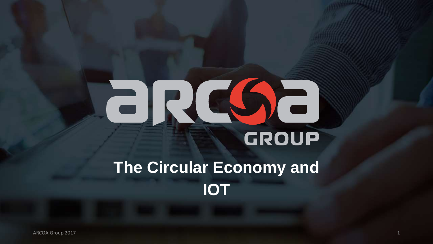# ERG6 GROUP

# **The Circular Economy and IOT**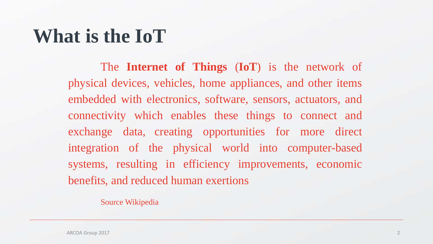#### **What is the IoT**

The **Internet of Things** (**IoT**) is the network of physical devices, vehicles, home appliances, and other items embedded with electronics, software, sensors, actuators, and connectivity which enables these things to connect and exchange data, creating opportunities for more direct integration of the physical world into computer-based systems, resulting in efficiency improvements, economic benefits, and reduced human exertions

Source Wikipedia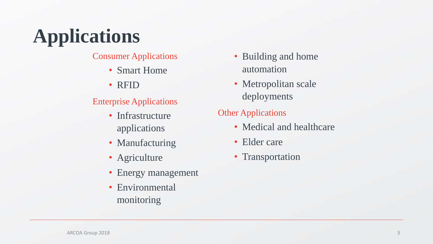# **Applications**

Consumer Applications

- Smart Home
- RFID

#### Enterprise Applications

- Infrastructure applications
- Manufacturing
- Agriculture
- Energy management
- Environmental monitoring
- Building and home automation
- Metropolitan scale deployments

#### Other Applications

- Medical and healthcare
- Elder care
- Transportation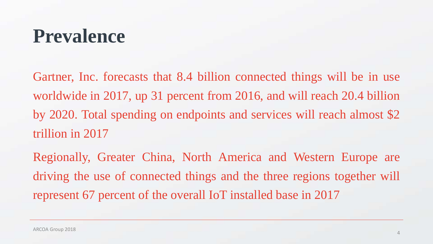#### **Prevalence**

Gartner, Inc. forecasts that 8.4 billion connected things will be in use worldwide in 2017, up 31 percent from 2016, and will reach 20.4 billion by 2020. Total spending on endpoints and services will reach almost \$2 trillion in 2017

Regionally, Greater China, North America and Western Europe are driving the use of connected things and the three regions together will represent 67 percent of the overall IoT installed base in 2017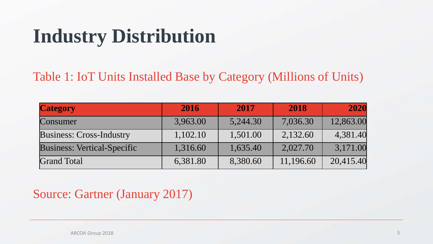# **Industry Distribution**

Table 1: IoT Units Installed Base by Category (Millions of Units)

| <b>Category</b>                 | 2016     | 2017     | 2018      | 2020      |
|---------------------------------|----------|----------|-----------|-----------|
| Consumer                        | 3,963.00 | 5,244.30 | 7,036.30  | 12,863.00 |
| <b>Business: Cross-Industry</b> | 1,102.10 | 1,501.00 | 2,132.60  | 4,381.40  |
| Business: Vertical-Specific     | 1,316.60 | 1,635.40 | 2,027.70  | 3,171.00  |
| <b>Grand Total</b>              | 6,381.80 | 8,380.60 | 11,196.60 | 20,415.40 |

#### Source: Gartner (January 2017)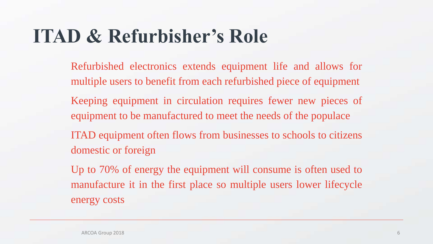# **ITAD & Refurbisher's Role**

- Refurbished electronics extends equipment life and allows for multiple users to benefit from each refurbished piece of equipment
- Keeping equipment in circulation requires fewer new pieces of equipment to be manufactured to meet the needs of the populace
- ITAD equipment often flows from businesses to schools to citizens domestic or foreign
- Up to 70% of energy the equipment will consume is often used to manufacture it in the first place so multiple users lower lifecycle energy costs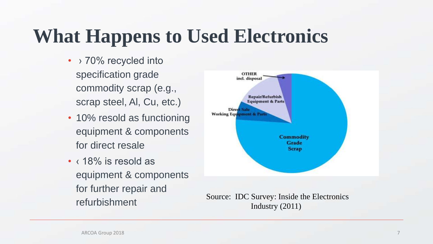# **What Happens to Used Electronics**

- > 70% recycled into specification grade commodity scrap (e.g., scrap steel, Al, Cu, etc.)
- 10% resold as functioning equipment & components for direct resale
- $\langle$  18% is resold as equipment & components for further repair and refurbishment



Source: IDC Survey: Inside the Electronics Industry (2011)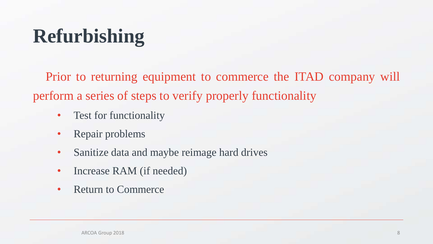# **Refurbishing**

Prior to returning equipment to commerce the ITAD company will perform a series of steps to verify properly functionality

- Test for functionality
- Repair problems
- Sanitize data and maybe reimage hard drives
- Increase RAM (if needed)
- Return to Commerce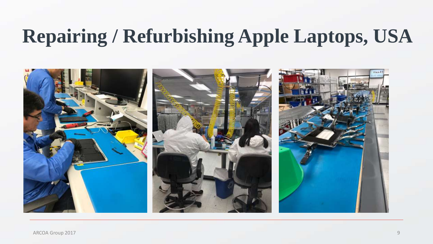# **Repairing / Refurbishing Apple Laptops, USA**

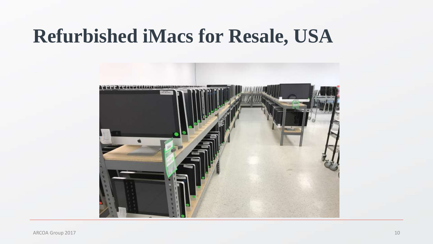## **Refurbished iMacs for Resale, USA**

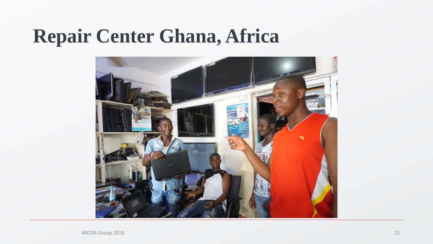# **Repair Center Ghana, Africa**

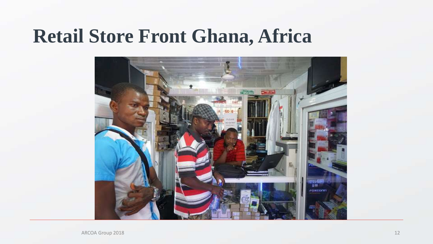#### **Retail Store Front Ghana, Africa**

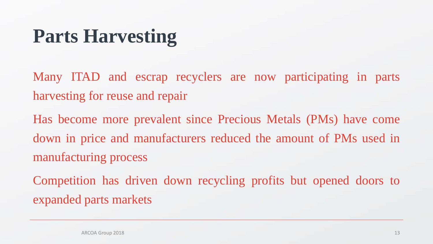# **Parts Harvesting**

Many ITAD and escrap recyclers are now participating in parts harvesting for reuse and repair

Has become more prevalent since Precious Metals (PMs) have come down in price and manufacturers reduced the amount of PMs used in manufacturing process

Competition has driven down recycling profits but opened doors to expanded parts markets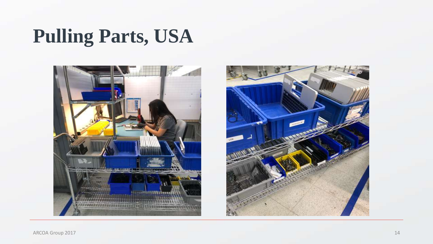# **Pulling Parts, USA**



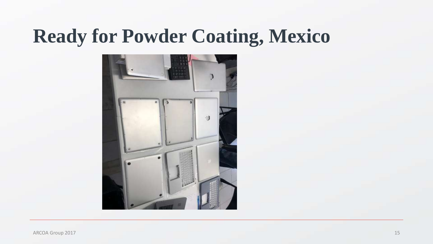# **Ready for Powder Coating, Mexico**

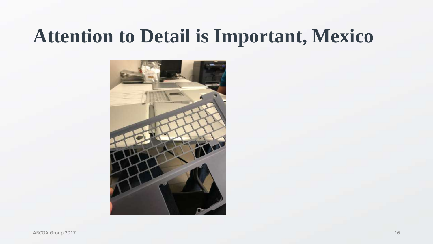#### **Attention to Detail is Important, Mexico**

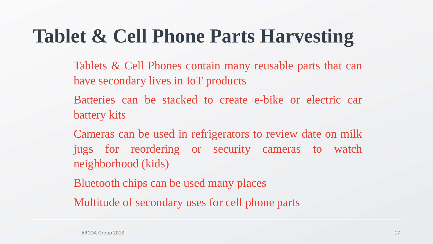# **Tablet & Cell Phone Parts Harvesting**

- Tablets & Cell Phones contain many reusable parts that can have secondary lives in IoT products
- Batteries can be stacked to create e-bike or electric car battery kits
- Cameras can be used in refrigerators to review date on milk jugs for reordering or security cameras to watch neighborhood (kids)
- Bluetooth chips can be used many places
- Multitude of secondary uses for cell phone parts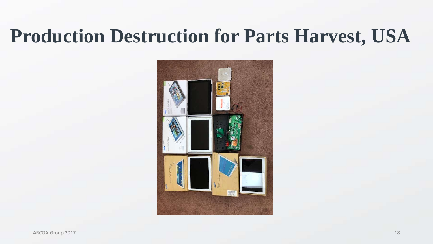# **Production Destruction for Parts Harvest, USA**

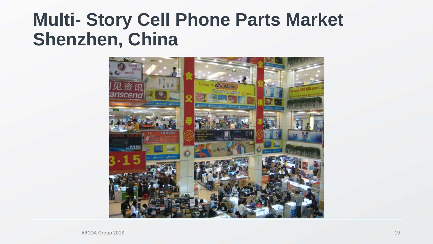#### **Multi- Story Cell Phone Parts Market Shenzhen, China**

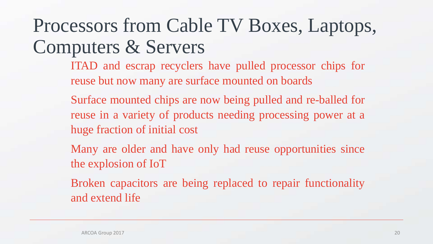# Processors from Cable TV Boxes, Laptops, Computers & Servers

- ITAD and escrap recyclers have pulled processor chips for reuse but now many are surface mounted on boards
- Surface mounted chips are now being pulled and re-balled for reuse in a variety of products needing processing power at a huge fraction of initial cost
- Many are older and have only had reuse opportunities since the explosion of IoT
- Broken capacitors are being replaced to repair functionality and extend life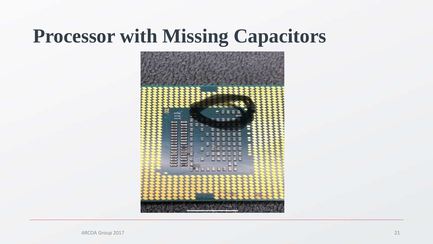# **Processor with Missing Capacitors**

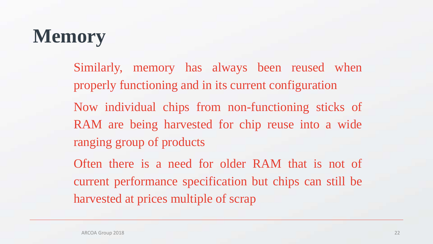# **Memory**

Similarly, memory has always been reused when properly functioning and in its current configuration Now individual chips from non-functioning sticks of RAM are being harvested for chip reuse into a wide ranging group of products

Often there is a need for older RAM that is not of current performance specification but chips can still be harvested at prices multiple of scrap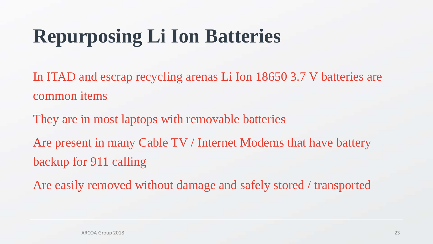# **Repurposing Li Ion Batteries**

In ITAD and escrap recycling arenas Li Ion 18650 3.7 V batteries are common items

They are in most laptops with removable batteries Are present in many Cable TV / Internet Modems that have battery backup for 911 calling

Are easily removed without damage and safely stored / transported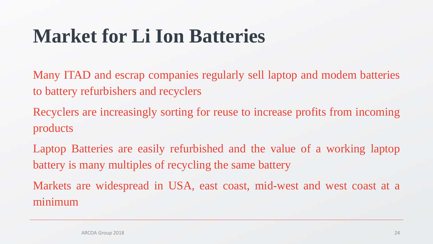# **Market for Li Ion Batteries**

Many ITAD and escrap companies regularly sell laptop and modem batteries to battery refurbishers and recyclers

Recyclers are increasingly sorting for reuse to increase profits from incoming products

Laptop Batteries are easily refurbished and the value of a working laptop battery is many multiples of recycling the same battery Markets are widespread in USA, east coast, mid-west and west coast at a

minim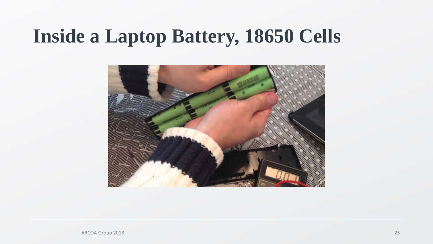## **Inside a Laptop Battery, 18650 Cells**

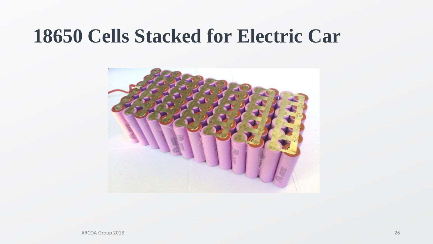#### **18650 Cells Stacked for Electric Car**



ARCOA Group 2018 26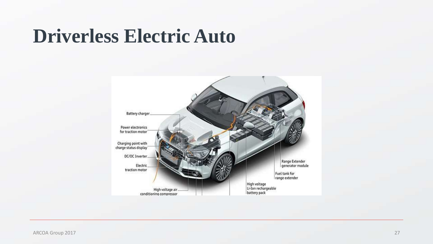#### **Driverless Electric Auto**

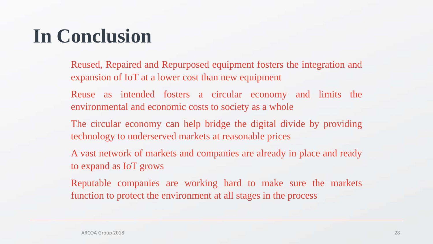# **In Conclusion**

Reused, Repaired and Repurposed equipment fosters the integration and expansion of IoT at a lower cost than new equipment

Reuse as intended fosters a circular economy and limits the environmental and economic costs to society as a whole

The circular economy can help bridge the digital divide by providing technology to underserved markets at reasonable prices

A vast network of markets and companies are already in place and ready to expand as IoT grows

Reputable companies are working hard to make sure the markets function to protect the environment at all stages in the process